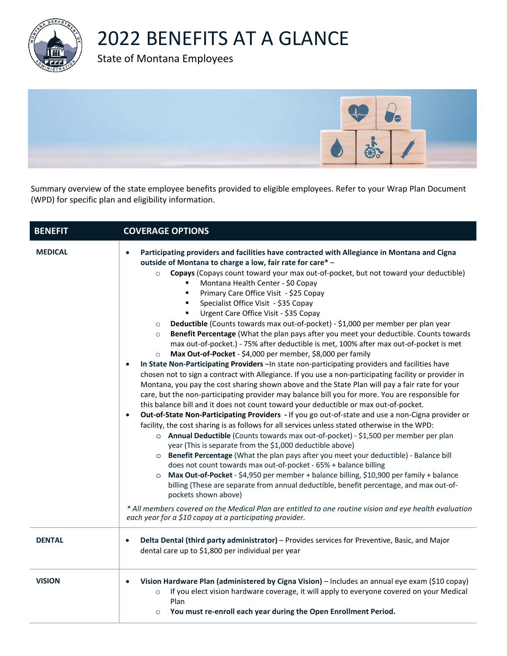

## 2022 BENEFITS AT A GLANCE

State of Montana Employees



Summary overview of the state employee benefits provided to eligible employees. Refer to your Wrap Plan Document (WPD) for specific plan and eligibility information.

| <b>BENEFIT</b> | <b>COVERAGE OPTIONS</b>                                                                                                                                                                                                                                                                                                                                                                                                                                                                                                                                                                                                                                                                                                                                                                                                                                                                                                                                                                                                                                                                                                                                                                                                                                                                                                                                                                                                                                                                                                                                                                                                                                                                                                                                                                                                                                                                                                                                                                                                                                                                                                                                                                                                                                                                |
|----------------|----------------------------------------------------------------------------------------------------------------------------------------------------------------------------------------------------------------------------------------------------------------------------------------------------------------------------------------------------------------------------------------------------------------------------------------------------------------------------------------------------------------------------------------------------------------------------------------------------------------------------------------------------------------------------------------------------------------------------------------------------------------------------------------------------------------------------------------------------------------------------------------------------------------------------------------------------------------------------------------------------------------------------------------------------------------------------------------------------------------------------------------------------------------------------------------------------------------------------------------------------------------------------------------------------------------------------------------------------------------------------------------------------------------------------------------------------------------------------------------------------------------------------------------------------------------------------------------------------------------------------------------------------------------------------------------------------------------------------------------------------------------------------------------------------------------------------------------------------------------------------------------------------------------------------------------------------------------------------------------------------------------------------------------------------------------------------------------------------------------------------------------------------------------------------------------------------------------------------------------------------------------------------------------|
| <b>MEDICAL</b> | Participating providers and facilities have contracted with Allegiance in Montana and Cigna<br>$\bullet$<br>outside of Montana to charge a low, fair rate for care*-<br>Copays (Copays count toward your max out-of-pocket, but not toward your deductible)<br>$\circ$<br>Montana Health Center - \$0 Copay<br>Primary Care Office Visit - \$25 Copay<br>٠<br>Specialist Office Visit - \$35 Copay<br>٠<br>Urgent Care Office Visit - \$35 Copay<br>٠<br>Deductible (Counts towards max out-of-pocket) - \$1,000 per member per plan year<br>$\circ$<br>Benefit Percentage (What the plan pays after you meet your deductible. Counts towards<br>$\circ$<br>max out-of-pocket.) - 75% after deductible is met, 100% after max out-of-pocket is met<br>Max Out-of-Pocket - \$4,000 per member, \$8,000 per family<br>$\circ$<br>In State Non-Participating Providers - In state non-participating providers and facilities have<br>$\bullet$<br>chosen not to sign a contract with Allegiance. If you use a non-participating facility or provider in<br>Montana, you pay the cost sharing shown above and the State Plan will pay a fair rate for your<br>care, but the non-participating provider may balance bill you for more. You are responsible for<br>this balance bill and it does not count toward your deductible or max out-of-pocket.<br>Out-of-State Non-Participating Providers - If you go out-of-state and use a non-Cigna provider or<br>$\bullet$<br>facility, the cost sharing is as follows for all services unless stated otherwise in the WPD:<br>o Annual Deductible (Counts towards max out-of-pocket) - \$1,500 per member per plan<br>year (This is separate from the \$1,000 deductible above)<br>o Benefit Percentage (What the plan pays after you meet your deductible) - Balance bill<br>does not count towards max out-of-pocket - 65% + balance billing<br>Max Out-of-Pocket - \$4,950 per member + balance billing, \$10,900 per family + balance<br>$\circ$<br>billing (These are separate from annual deductible, benefit percentage, and max out-of-<br>pockets shown above)<br>* All members covered on the Medical Plan are entitled to one routine vision and eye health evaluation<br>each year for a \$10 copay at a participating provider. |
| <b>DENTAL</b>  | Delta Dental (third party administrator) - Provides services for Preventive, Basic, and Major<br>$\bullet$<br>dental care up to \$1,800 per individual per year                                                                                                                                                                                                                                                                                                                                                                                                                                                                                                                                                                                                                                                                                                                                                                                                                                                                                                                                                                                                                                                                                                                                                                                                                                                                                                                                                                                                                                                                                                                                                                                                                                                                                                                                                                                                                                                                                                                                                                                                                                                                                                                        |
| <b>VISION</b>  | Vision Hardware Plan (administered by Cigna Vision) - Includes an annual eye exam (\$10 copay)<br>$\bullet$<br>If you elect vision hardware coverage, it will apply to everyone covered on your Medical<br>$\circ$<br>Plan<br>You must re-enroll each year during the Open Enrollment Period.<br>$\circ$                                                                                                                                                                                                                                                                                                                                                                                                                                                                                                                                                                                                                                                                                                                                                                                                                                                                                                                                                                                                                                                                                                                                                                                                                                                                                                                                                                                                                                                                                                                                                                                                                                                                                                                                                                                                                                                                                                                                                                               |